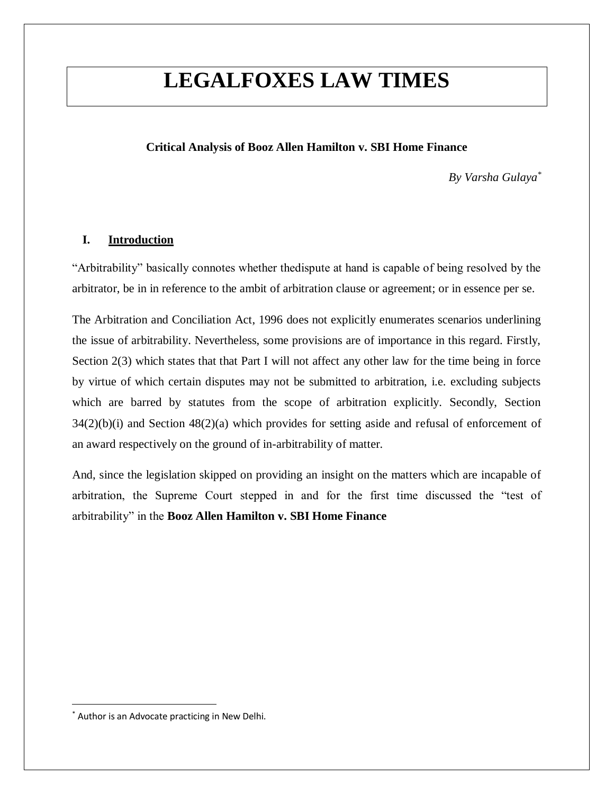## **LEGALFOXES LAW TIMES**

## **Critical Analysis of Booz Allen Hamilton v. SBI Home Finance**

*By Varsha Gulaya\**

## **I. Introduction**

"Arbitrability" basically connotes whether thedispute at hand is capable of being resolved by the arbitrator, be in in reference to the ambit of arbitration clause or agreement; or in essence per se.

The Arbitration and Conciliation Act, 1996 does not explicitly enumerates scenarios underlining the issue of arbitrability. Nevertheless, some provisions are of importance in this regard. Firstly, Section 2(3) which states that that Part I will not affect any other law for the time being in force by virtue of which certain disputes may not be submitted to arbitration, i.e. excluding subjects which are barred by statutes from the scope of arbitration explicitly. Secondly, Section  $34(2)(b)(i)$  and Section  $48(2)(a)$  which provides for setting aside and refusal of enforcement of an award respectively on the ground of in-arbitrability of matter.

And, since the legislation skipped on providing an insight on the matters which are incapable of arbitration, the Supreme Court stepped in and for the first time discussed the "test of arbitrability" in the **Booz Allen Hamilton v. SBI Home Finance**

<sup>\*</sup> Author is an Advocate practicing in New Delhi.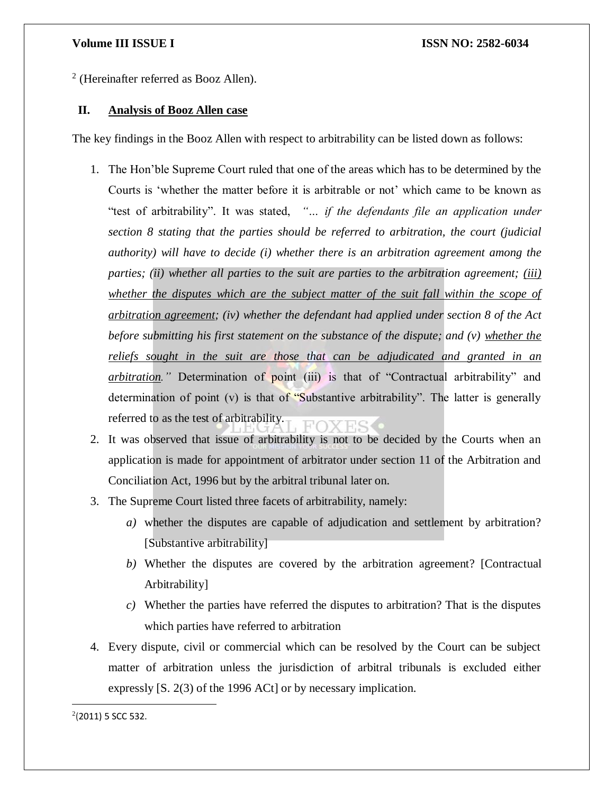2 (Hereinafter referred as Booz Allen).

## **II. Analysis of Booz Allen case**

The key findings in the Booz Allen with respect to arbitrability can be listed down as follows:

- 1. The Hon'ble Supreme Court ruled that one of the areas which has to be determined by the Courts is 'whether the matter before it is arbitrable or not' which came to be known as "test of arbitrability". It was stated, *"… if the defendants file an application under section 8 stating that the parties should be referred to arbitration, the court (judicial authority) will have to decide (i) whether there is an arbitration agreement among the parties; (ii) whether all parties to the suit are parties to the arbitration agreement; (iii) whether the disputes which are the subject matter of the suit fall within the scope of arbitration agreement; (iv) whether the defendant had applied under section 8 of the Act before submitting his first statement on the substance of the dispute; and (v) whether the reliefs sought in the suit are those that can be adjudicated and granted in an arbitration."* Determination of point (iii) is that of "Contractual arbitrability" and determination of point  $(v)$  is that of "Substantive arbitrability". The latter is generally referred to as the test of arbitrability.
- 2. It was observed that issue of arbitrability is not to be decided by the Courts when an application is made for appointment of arbitrator under section 11 of the Arbitration and Conciliation Act, 1996 but by the arbitral tribunal later on.
- 3. The Supreme Court listed three facets of arbitrability, namely:
	- *a)* whether the disputes are capable of adjudication and settlement by arbitration? [Substantive arbitrability]
	- *b)* Whether the disputes are covered by the arbitration agreement? [Contractual Arbitrability]
	- *c)* Whether the parties have referred the disputes to arbitration? That is the disputes which parties have referred to arbitration
- 4. Every dispute, civil or commercial which can be resolved by the Court can be subject matter of arbitration unless the jurisdiction of arbitral tribunals is excluded either expressly [S. 2(3) of the 1996 ACt] or by necessary implication.

 $2(2011)$  5 SCC 532.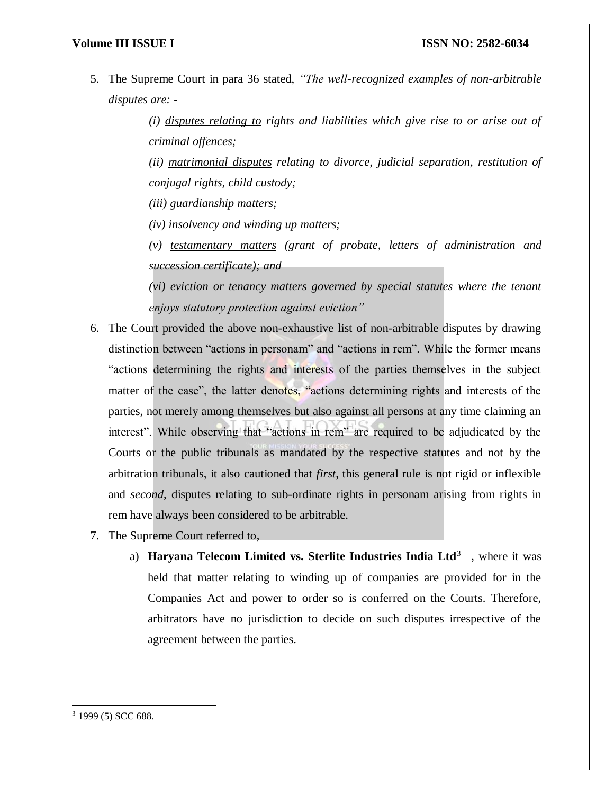## **Volume III ISSUE I ISSN NO: 2582-6034**

5. The Supreme Court in para 36 stated, *"The well-recognized examples of non-arbitrable disputes are: -*

> *(i) disputes relating to rights and liabilities which give rise to or arise out of criminal offences;*

> *(ii) matrimonial disputes relating to divorce, judicial separation, restitution of conjugal rights, child custody;*

*(iii) guardianship matters;* 

*(iv) insolvency and winding up matters;* 

*(v) testamentary matters (grant of probate, letters of administration and succession certificate); and* 

*(vi) eviction or tenancy matters governed by special statutes where the tenant enjoys statutory protection against eviction"*

- 6. The Court provided the above non-exhaustive list of non-arbitrable disputes by drawing distinction between "actions in personam" and "actions in rem". While the former means "actions determining the rights and interests of the parties themselves in the subject matter of the case", the latter denotes, "actions determining rights and interests of the parties, not merely among themselves but also against all persons at any time claiming an interest". While observing that "actions in rem" are required to be adjudicated by the Courts or the public tribunals as mandated by the respective statutes and not by the arbitration tribunals, it also cautioned that *first*, this general rule is not rigid or inflexible and *second*, disputes relating to sub-ordinate rights in personam arising from rights in rem have always been considered to be arbitrable.
- 7. The Supreme Court referred to,
	- a) **Haryana Telecom Limited vs. Sterlite Industries India Ltd<sup>3</sup> –, where it was** held that matter relating to winding up of companies are provided for in the Companies Act and power to order so is conferred on the Courts. Therefore, arbitrators have no jurisdiction to decide on such disputes irrespective of the agreement between the parties.

<sup>3</sup> 1999 (5) SCC 688.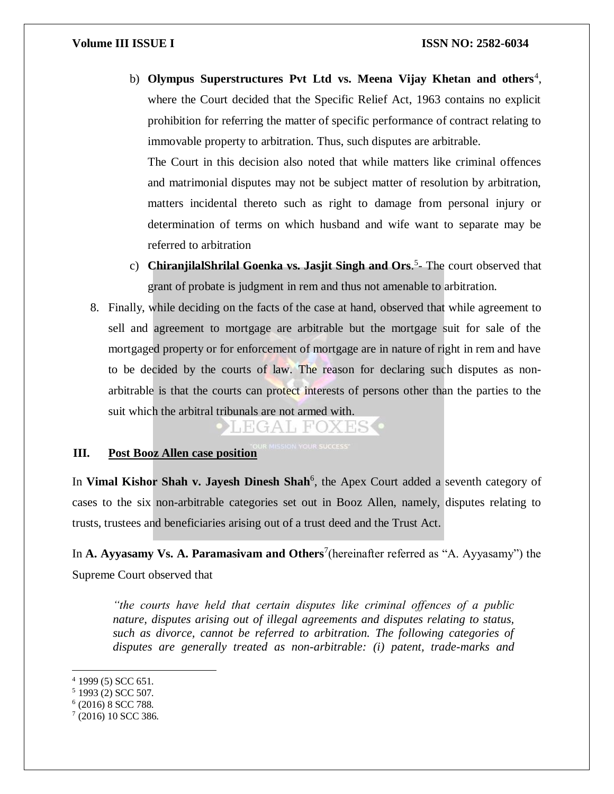b) Olympus Superstructures Pvt Ltd vs. Meena Vijay Khetan and others<sup>4</sup>, where the Court decided that the Specific Relief Act, 1963 contains no explicit prohibition for referring the matter of specific performance of contract relating to immovable property to arbitration. Thus, such disputes are arbitrable.

The Court in this decision also noted that while matters like criminal offences and matrimonial disputes may not be subject matter of resolution by arbitration, matters incidental thereto such as right to damage from personal injury or determination of terms on which husband and wife want to separate may be referred to arbitration

- c) **ChiranjilalShrilal Goenka vs. Jasjit Singh and Ors.<sup>5</sup>- The court observed that** grant of probate is judgment in rem and thus not amenable to arbitration.
- 8. Finally, while deciding on the facts of the case at hand, observed that while agreement to sell and agreement to mortgage are arbitrable but the mortgage suit for sale of the mortgaged property or for enforcement of mortgage are in nature of right in rem and have to be decided by the courts of law. The reason for declaring such disputes as nonarbitrable is that the courts can protect interests of persons other than the parties to the suit which the arbitral tribunals are not armed with.

HGAI FC

# **III.** Post Booz Allen case position

In Vimal Kishor Shah v. Jayesh Dinesh Shah<sup>6</sup>, the Apex Court added a seventh category of cases to the six non-arbitrable categories set out in Booz Allen, namely, disputes relating to trusts, trustees and beneficiaries arising out of a trust deed and the Trust Act.

In **A. Ayyasamy Vs. A. Paramasivam and Others**<sup>7</sup> (hereinafter referred as "A. Ayyasamy") the Supreme Court observed that

*"the courts have held that certain disputes like criminal offences of a public nature, disputes arising out of illegal agreements and disputes relating to status, such as divorce, cannot be referred to arbitration. The following categories of disputes are generally treated as non-arbitrable: (i) patent, trade-marks and* 

 $\overline{a}$ 

6 (2016) 8 SCC 788.

 $4$  1999 (5) SCC 651.

 $5$  1993 (2) SCC 507.

<sup>7</sup> (2016) 10 SCC 386.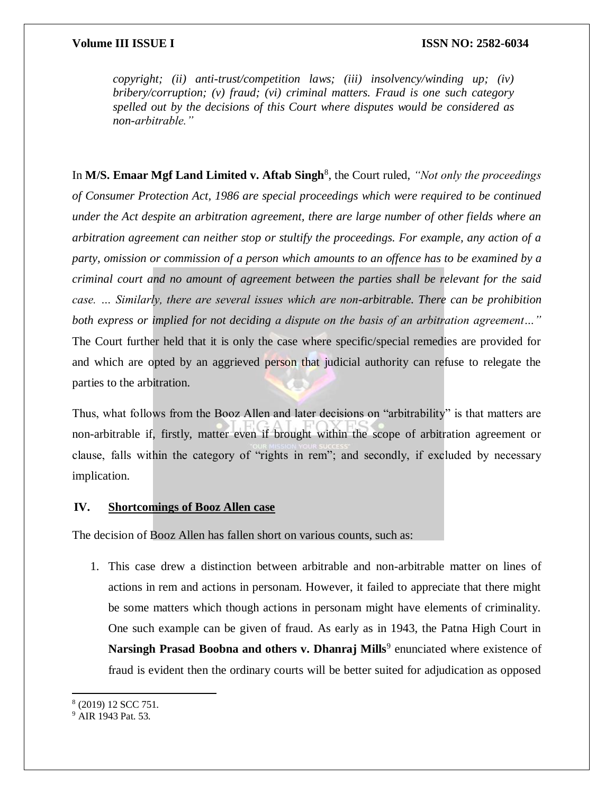*copyright; (ii) anti-trust/competition laws; (iii) insolvency/winding up; (iv) bribery/corruption; (v) fraud; (vi) criminal matters. Fraud is one such category spelled out by the decisions of this Court where disputes would be considered as non-arbitrable."*

In M/S. Emaar Mgf Land Limited v. Aftab Singh<sup>8</sup>, the Court ruled, "Not only the proceedings *of Consumer Protection Act, 1986 are special proceedings which were required to be continued under the Act despite an arbitration agreement, there are large number of other fields where an arbitration agreement can neither stop or stultify the proceedings. For example, any action of a party, omission or commission of a person which amounts to an offence has to be examined by a criminal court and no amount of agreement between the parties shall be relevant for the said case. … Similarly, there are several issues which are non-arbitrable. There can be prohibition both express or implied for not deciding a dispute on the basis of an arbitration agreement…"* The Court further held that it is only the case where specific/special remedies are provided for and which are opted by an aggrieved person that judicial authority can refuse to relegate the parties to the arbitration.

Thus, what follows from the Booz Allen and later decisions on "arbitrability" is that matters are non-arbitrable if, firstly, matter even if brought within the scope of arbitration agreement or clause, falls within the category of "rights in rem"; and secondly, if excluded by necessary implication.

## **IV. Shortcomings of Booz Allen case**

The decision of Booz Allen has fallen short on various counts, such as:

1. This case drew a distinction between arbitrable and non-arbitrable matter on lines of actions in rem and actions in personam. However, it failed to appreciate that there might be some matters which though actions in personam might have elements of criminality. One such example can be given of fraud. As early as in 1943, the Patna High Court in Narsingh Prasad Boobna and others v. Dhanraj Mills<sup>9</sup> enunciated where existence of fraud is evident then the ordinary courts will be better suited for adjudication as opposed

 $\overline{\phantom{a}}$ 

<sup>8</sup> (2019) 12 SCC 751.

<sup>9</sup> AIR 1943 Pat. 53.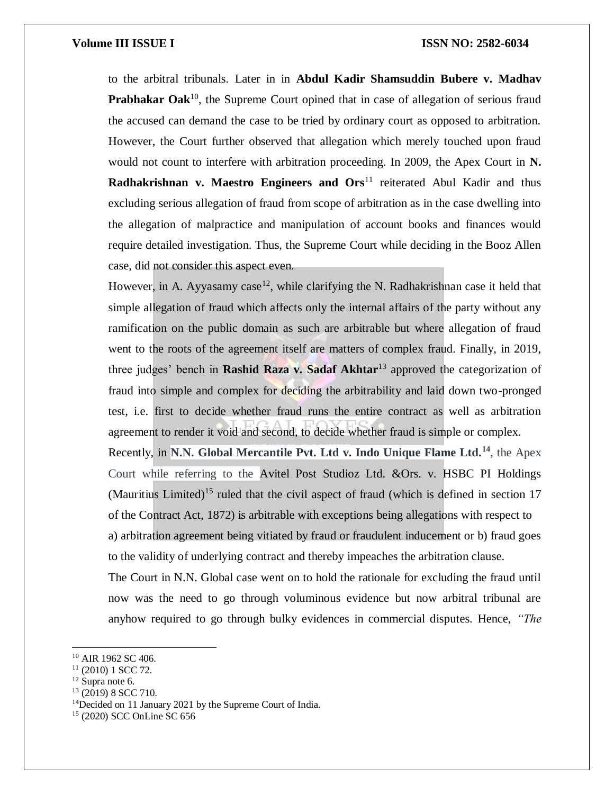## **Volume III ISSUE I ISSN NO: 2582-6034**

to the arbitral tribunals. Later in in **Abdul Kadir Shamsuddin Bubere v. Madhav Prabhakar Oak**<sup>10</sup>, the Supreme Court opined that in case of allegation of serious fraud the accused can demand the case to be tried by ordinary court as opposed to arbitration. However, the Court further observed that allegation which merely touched upon fraud would not count to interfere with arbitration proceeding. In 2009, the Apex Court in **N. Radhakrishnan v. Maestro Engineers and Ors<sup>11</sup> reiterated Abul Kadir and thus** excluding serious allegation of fraud from scope of arbitration as in the case dwelling into the allegation of malpractice and manipulation of account books and finances would require detailed investigation. Thus, the Supreme Court while deciding in the Booz Allen case, did not consider this aspect even.

However, in A. Ayyasamy case<sup>12</sup>, while clarifying the N. Radhakrishnan case it held that simple allegation of fraud which affects only the internal affairs of the party without any ramification on the public domain as such are arbitrable but where allegation of fraud went to the roots of the agreement itself are matters of complex fraud. Finally, in 2019, three judges' bench in **Rashid Raza v. Sadaf Akhtar**<sup>13</sup> approved the categorization of fraud into simple and complex for deciding the arbitrability and laid down two-pronged test, i.e. first to decide whether fraud runs the entire contract as well as arbitration agreement to render it void and second, to decide whether fraud is simple or complex. Recently, in **N.N. Global Mercantile Pvt. Ltd v. Indo Unique Flame Ltd.<sup>14</sup>**, the Apex Court while referring to the Avitel Post Studioz Ltd. &Ors. v. HSBC PI Holdings (Mauritius Limited)<sup>15</sup> ruled that the civil aspect of fraud (which is defined in section  $17$ 

a) arbitration agreement being vitiated by fraud or fraudulent inducement or b) fraud goes to the validity of underlying contract and thereby impeaches the arbitration clause.

of the Contract Act, 1872) is arbitrable with exceptions being allegations with respect to

The Court in N.N. Global case went on to hold the rationale for excluding the fraud until now was the need to go through voluminous evidence but now arbitral tribunal are anyhow required to go through bulky evidences in commercial disputes. Hence, *"The* 

<sup>&</sup>lt;sup>10</sup> AIR 1962 SC 406.

<sup>11</sup> (2010) 1 SCC 72.

<sup>&</sup>lt;sup>12</sup> Supra note 6.

 $13$  (2019) 8 SCC 710.

<sup>14</sup>Decided on 11 January 2021 by the Supreme Court of India.

<sup>15</sup> (2020) SCC OnLine SC 656